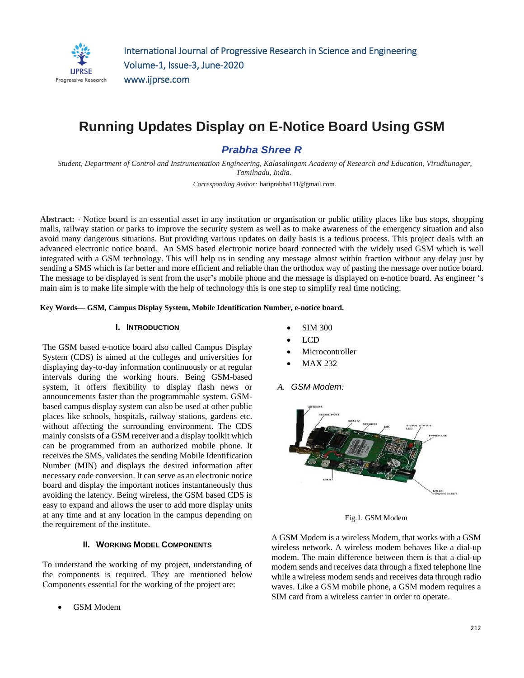

# **Running Updates Display on E-Notice Board Using GSM**

*Prabha Shree R*

*Student, Department of Control and Instrumentation Engineering, Kalasalingam Academy of Research and Education, Virudhunagar, Tamilnadu, India.*

*Corresponding Author:* hariprabha111@gmail.com*.* 

**Abstract:** *-* Notice board is an essential asset in any institution or organisation or public utility places like bus stops, shopping malls, railway station or parks to improve the security system as well as to make awareness of the emergency situation and also avoid many dangerous situations. But providing various updates on daily basis is a tedious process. This project deals with an advanced electronic notice board. An SMS based electronic notice board connected with the widely used GSM which is well integrated with a GSM technology. This will help us in sending any message almost within fraction without any delay just by sending a SMS which is far better and more efficient and reliable than the orthodox way of pasting the message over notice board. The message to be displayed is sent from the user's mobile phone and the message is displayed on e-notice board. As engineer 's main aim is to make life simple with the help of technology this is one step to simplify real time noticing.

**Key Words— GSM, Campus Display System, Mobile Identification Number, e-notice board.**

#### **I. INTRODUCTION**

The GSM based e-notice board also called Campus Display System (CDS) is aimed at the colleges and universities for displaying day-to-day information continuously or at regular intervals during the working hours. Being GSM-based system, it offers flexibility to display flash news or announcements faster than the programmable system. GSMbased campus display system can also be used at other public places like schools, hospitals, railway stations, gardens etc. without affecting the surrounding environment. The CDS mainly consists of a GSM receiver and a display toolkit which can be programmed from an authorized mobile phone. It receives the SMS, validates the sending Mobile Identification Number (MIN) and displays the desired information after necessary code conversion. It can serve as an electronic notice board and display the important notices instantaneously thus avoiding the latency. Being wireless, the GSM based CDS is easy to expand and allows the user to add more display units at any time and at any location in the campus depending on the requirement of the institute.

## **II. WORKING MODEL COMPONENTS**

To understand the working of my project, understanding of the components is required. They are mentioned below Components essential for the working of the project are:

GSM Modem

- SIM 300
- LCD
- Microcontroller
- MAX 232
- *A. GSM Modem:*



Fig.1. GSM Modem

A GSM Modem is a wireless Modem, that works with a GSM wireless network. A wireless modem behaves like a dial-up modem. The main difference between them is that a dial-up modem sends and receives data through a fixed telephone line while a wireless modem sends and receives data through radio waves. Like a GSM mobile phone, a GSM modem requires a SIM card from a wireless carrier in order to operate.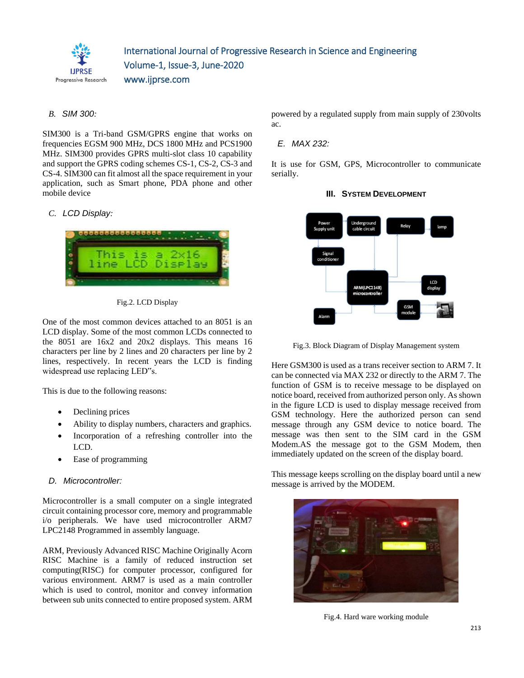

## *B. SIM 300:*

SIM300 is a Tri-band GSM/GPRS engine that works on frequencies EGSM 900 MHz, DCS 1800 MHz and PCS1900 MHz. SIM300 provides GPRS multi-slot class 10 capability and support the GPRS coding schemes CS-1, CS-2, CS-3 and CS-4. SIM300 can fit almost all the space requirement in your application, such as Smart phone, PDA phone and other mobile device

#### *C. LCD Display:*



Fig.2. LCD Display

One of the most common devices attached to an 8051 is an LCD display. Some of the most common LCDs connected to the 8051 are 16x2 and 20x2 displays. This means 16 characters per line by 2 lines and 20 characters per line by 2 lines, respectively. In recent years the LCD is finding widespread use replacing LED"s.

This is due to the following reasons:

- Declining prices
- Ability to display numbers, characters and graphics.
- Incorporation of a refreshing controller into the LCD.
- Ease of programming

#### *D. Microcontroller:*

Microcontroller is a small computer on a single integrated circuit containing processor core, memory and programmable i/o peripherals. We have used microcontroller ARM7 LPC2148 Programmed in assembly language.

ARM, Previously Advanced RISC Machine Originally Acorn RISC Machine is a family of reduced instruction set computing(RISC) for computer processor, configured for various environment. ARM7 is used as a main controller which is used to control, monitor and convey information between sub units connected to entire proposed system. ARM powered by a regulated supply from main supply of 230volts ac.

#### *E. MAX 232:*

It is use for GSM, GPS, Microcontroller to communicate serially.



#### **III.** SYSTEM DEVELOPMENT

Fig.3. Block Diagram of Display Management system

Here GSM300 is used as a trans receiver section to ARM 7. It can be connected via MAX 232 or directly to the ARM 7. The function of GSM is to receive message to be displayed on notice board, received from authorized person only. As shown in the figure LCD is used to display message received from GSM technology. Here the authorized person can send message through any GSM device to notice board. The message was then sent to the SIM card in the GSM Modem.AS the message got to the GSM Modem, then immediately updated on the screen of the display board.

This message keeps scrolling on the display board until a new message is arrived by the MODEM.



Fig.4. Hard ware working module